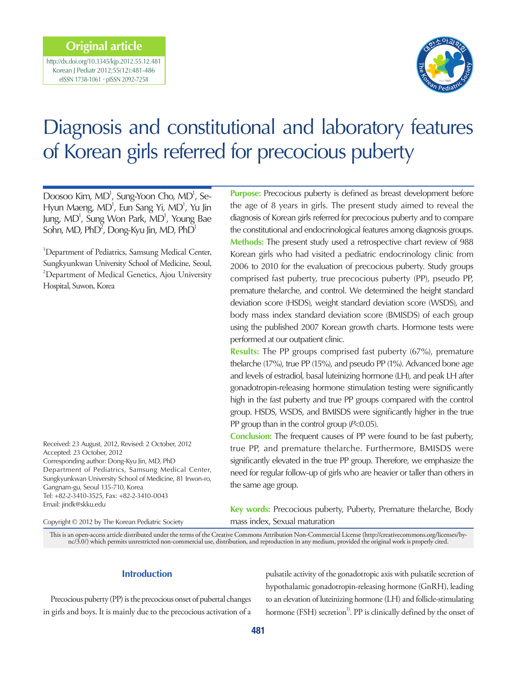# **Original article**

http://dx.doi.org/10.3345/kjp.2012.55.12.481 Korean J Pediatr 2012;55(12):481-486 eISSN 1738-1061 • pISSN 2092-7258



# Diagnosis and constitutional and laboratory features of Korean girls referred for precocious puberty

Doosoo Kim, MD<sup>1</sup>, Sung-Yoon Cho, MD<sup>1</sup>, Se-Hyun Maeng, MD<sup>1</sup>, Eun Sang Yi, MD<sup>1</sup>, Yu Jin Jung, MD<sup>1</sup>, Sung Won Park, MD<sup>1</sup>, Young Bae Sohn, MD,  $PhD^2$ , Dong-Kyu Jin, MD,  $PhD^1$ 

<sup>1</sup>Department of Pediatrics, Samsung Medical Center, Sungkyunkwan University School of Medicine, Seoul, <sup>2</sup>Department of Medical Genetics, Ajou University Hospital, Suwon, Korea

Received: 23 August, 2012, Revised: 2 October, 2012 Accepted: 23 October, 2012 Corresponding author: Dong-Kyu Jin, MD, PhD Department of Pediatrics, Samsung Medical Center, Sungkyunkwan University School of Medicine, 81 Irwon-ro, Gangnam-gu, Seoul 135-710, Korea Tel: +82-2-3410-3525, Fax: +82-2-3410-0043 Email: jindk@skku.edu

Copyright © 2012 by The Korean Pediatric Society

**Purpose:** Precocious puberty is defined as breast development before the age of 8 years in girls. The present study aimed to reveal the diagnosis of Korean girls referred for precocious puberty and to compare the constitutional and endocrinological features among diagnosis groups. **Methods:** The present study used a retrospective chart review of 988 Korean girls who had visited a pediatric endocrinology clinic from 2006 to 2010 for the evaluation of precocious puberty. Study groups comprised fast puberty, true precocious puberty (PP), pseudo PP, premature thelarche, and control. We determined the height standard deviation score (HSDS), weight standard deviation score (WSDS), and body mass index standard deviation score (BMISDS) of each group using the published 2007 Korean growth charts. Hormone tests were performed at our outpatient clinic.

**Results:** The PP groups comprised fast puberty (67%), premature thelarche (17%), true PP (15%), and pseudo PP (1%). Advanced bone age and levels of estradiol, basal luteinizing hormone (LH), and peak LH after gonadotropin-releasing hormone stimulation testing were significantly high in the fast puberty and true PP groups compared with the control group. HSDS, WSDS, and BMISDS were significantly higher in the true PP group than in the control group  $(P<0.05)$ .

**Conclusion:** The frequent causes of PP were found to be fast puberty, true PP, and premature thelarche. Furthermore, BMISDS were significantly elevated in the true PP group. Therefore, we emphasize the need for regular follow-up of girls who are heavier or taller than others in the same age group.

**Key words:** Precocious puberty, Puberty, Premature thelarche, Body mass index, Sexual maturation

This is an open-access article distributed under the terms of the Creative Commons Attribution Non-Commercial License (http://creativecommons.org/licenses/bync/3.0/) which permits unrestricted non-commercial use, distribution, and reproduction in any medium, provided the original work is properly cited.

# **Introduction**

Precocious puberty (PP) is the precocious onset of pubertal changes in girls and boys. It is mainly due to the precocious activation of a pulsatile activity of the gonadotropic axis with pulsatile secretion of hypothalamic gonadotropin-releasing hormone (GnRH), leading to an elevation of luteinizing hormone (LH) and follicle-stimulating hormone (FSH) secretion<sup>1)</sup>. PP is clinically defined by the onset of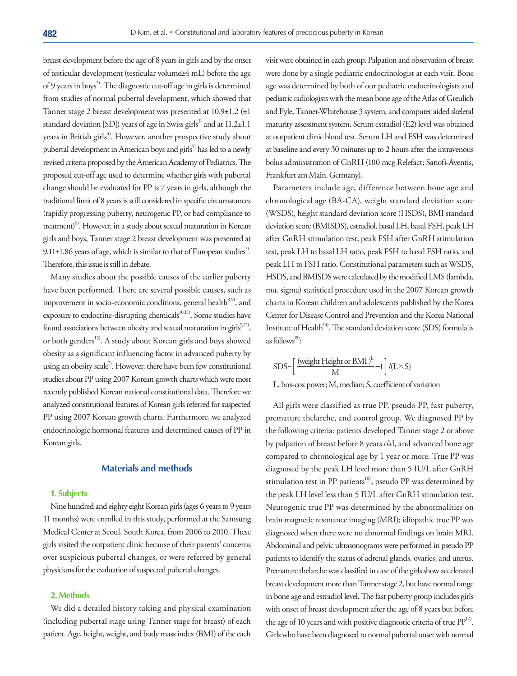breast development before the age of 8 years in girls and by the onset of testicular development (testicular volume≥4 mL) before the age of 9 years in boys<sup>2</sup>. The diagnostic cut-off age in girls is determined from studies of normal pubertal development, which showed that Tanner stage 2 breast development was presented at 10.9±1.2 (±1 standard deviation [SD]) years of age in Swiss girls<sup>3)</sup> and at  $11.2\pm1.1$ years in British girls<sup>4)</sup>. However, another prospective study about pubertal development in American boys and girls<sup>5)</sup> has led to a newly revised criteria proposed by the American Academy of Pediatrics. The proposed cut-off age used to determine whether girls with pubertal change should be evaluated for PP is 7 years in girls, although the traditional limit of 8 years is still considered in specific circumstances (rapidly progressing puberty, neurogenic PP, or bad compliance to treatment)<sup>6)</sup>. However, in a study about sexual maturation in Korean girls and boys, Tanner stage 2 breast development was presented at 9.11±1.86 years of age, which is similar to that of European studies<sup>7</sup>. Therefore, this issue is still in debate.

Many studies about the possible causes of the earlier puberty have been performed. There are several possible causes, such as improvement in socio-economic conditions, general health<sup>8,9)</sup>, and exposure to endocrine-disrupting chemicals<sup>10,11)</sup>. Some studies have found associations between obesity and sexual maturation in girls<sup>7,12)</sup>, or both genders<sup>13)</sup>. A study about Korean girls and boys showed obesity as a significant influencing factor in advanced puberty by using an obesity scale<sup>7</sup>. However, there have been few constitutional studies about PP using 2007 Korean growth charts which were most recently published Korean national constitutional data. Therefore we analyzed constitutional features of Korean girls referred for suspected PP using 2007 Korean growth charts. Furthermore, we analyzed endocrinologic hormonal features and determined causes of PP in Korean girls.

# **Materials and methods**

#### **1. Subjects**

Nine hundred and eighty eight Korean girls (ages 6 years to 9 years 11 months) were enrolled in this study, performed at the Samsung Medical Center at Seoul, South Korea, from 2006 to 2010. These girls visited the outpatient clinic because of their parents' concerns over suspicious pubertal changes, or were referred by general physicians for the evaluation of suspected pubertal changes.

# **2. Methods**

We did a detailed history taking and physical examination (including pubertal stage using Tanner stage for breast) of each patient. Age, height, weight, and body mass index (BMI) of the each

visit were obtained in each group. Palpation and observation of breast were done by a single pediatric endocrinologist at each visit. Bone age was determined by both of our pediatric endocrinologists and pediatric radiologists with the mean bone age of the Atlas of Greulich and Pyle, Tanner-Whitehouse 3 system, and computer aided skeletal maturity assessment system. Serum estradiol (E2) level was obtained at outpatient clinic blood test. Serum LH and FSH was determined at baseline and every 30 minutes up to 2 hours after the intravenous bolus administration of GnRH (100 mcg Relefact; Sanofi-Aventis, Frankfurt am Main, Germany).

Parameters include age, difference between bone age and chronological age (BA-CA), weight standard deviation score (WSDS), height standard deviation score (HSDS), BMI standard deviation score (BMISDS), estradiol, basal LH, basal FSH, peak LH after GnRH stimulation test, peak FSH after GnRH stimulation test, peak LH to basal LH ratio, peak FSH to basal FSH ratio, and peak LH to FSH ratio. Constitutional parameters such as WSDS, HSDS, and BMISDS were calculated by the modified LMS (lambda, mu, sigma) statistical procedure used in the 2007 Korean growth charts in Korean children and adolescents published by the Korea Center for Disease Control and Prevention and the Korea National Institute of Health $14^1$ . The standard deviation score (SDS) formula is as follows<sup>15)</sup>:

$$
SDS = \left[\frac{\text{(weight Height or BMI)}^{L}}{M} - 1\right] / (L \times S)
$$

L, box-cox power; M, median; S, coefficient of variation

All girls were classified as true PP, pseudo PP, fast puberty, premature thelarche, and control group. We diagnosed PP by the following criteria: patients developed Tanner stage 2 or above by palpation of breast before 8 years old, and advanced bone age compared to chronological age by 1 year or more. True PP was diagnosed by the peak LH level more than 5 IU/L after GnRH stimulation test in PP patients<sup>16</sup>; pseudo PP was determined by the peak LH level less than 5 IU/L after GnRH stimulation test. Neurogenic true PP was determined by the abnormalities on brain magnetic resonance imaging (MRI); idiopathic true PP was diagnosed when there were no abnormal findings on brain MRI. Abdominal and pelvic ultrasonograms were performed in pseudo PP patients to identify the status of adrenal glands, ovaries, and uterus. Premature thelarche was classified in case of the girls show accelerated breast development more than Tanner stage 2, but have normal range in bone age and estradiol level. The fast puberty group includes girls with onset of breast development after the age of 8 years but before the age of 10 years and with positive diagnostic criteria of true  $PP^{17}$ . Girls who have been diagnosed to normal pubertal onset with normal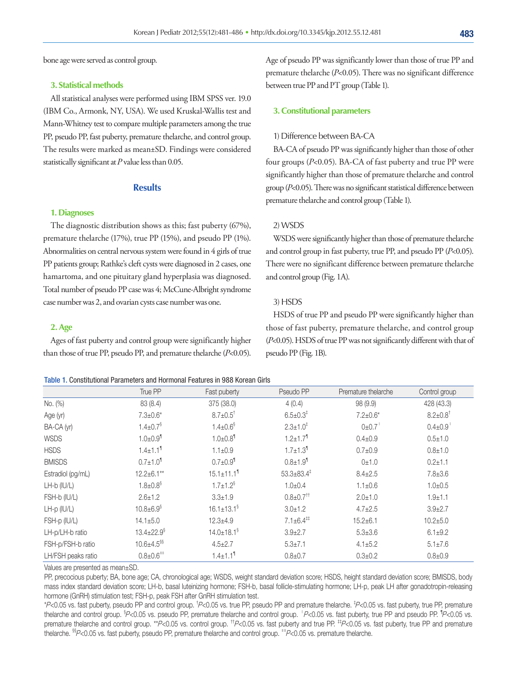bone age were served as control group.

#### **3. Statistical methods**

All statistical analyses were performed using IBM SPSS ver. 19.0 (IBM Co., Armonk, NY, USA). We used Kruskal-Wallis test and Mann-Whitney test to compare multiple parameters among the true PP, pseudo PP, fast puberty, premature thelarche, and control group. The results were marked as mean±SD. Findings were considered statistically significant at  $P$  value less than 0.05.

#### **Results**

#### **1. Diagnoses**

The diagnostic distribution shows as this; fast puberty (67%), premature thelarche (17%), true PP (15%), and pseudo PP (1%). Abnormalities on central nervous system were found in 4 girls of true PP patients group; Rathke's cleft cysts were diagnosed in 2 cases, one hamartoma, and one pituitary gland hyperplasia was diagnosed. Total number of pseudo PP case was 4; McCune-Albright syndrome case number was 2, and ovarian cysts case number was one.

#### **2. Age**

Ages of fast puberty and control group were significantly higher than those of true PP, pseudo PP, and premature thelarche (P<0.05).

Age of pseudo PP was significantly lower than those of true PP and premature thelarche (P<0.05). There was no significant difference between true PP and PT group (Table 1).

## **3. Constitutional parameters**

#### 1) Difference between BA-CA

BA-CA of pseudo PP was significantly higher than those of other four groups (P<0.05). BA-CA of fast puberty and true PP were significantly higher than those of premature thelarche and control group (P<0.05). There was no significant statistical difference between premature thelarche and control group (Table 1).

## 2) WSDS

WSDS were significantly higher than those of premature thelarche and control group in fast puberty, true PP, and pseudo PP  $(P<0.05)$ . There were no significant difference between premature thelarche and control group (Fig. 1A).

#### 3) HSDS

HSDS of true PP and pseudo PP were significantly higher than those of fast puberty, premature thelarche, and control group (P<0.05). HSDS of true PP was not significantly different with that of pseudo PP (Fig. 1B).

#### Table 1. Constitutional Parameters and Hormonal Features in 988 Korean Girls

|                    | True PP                      | Fast puberty                 | Pseudo PP                        | Premature thelarche | Control group              |
|--------------------|------------------------------|------------------------------|----------------------------------|---------------------|----------------------------|
| No. (%)            | 83 (8.4)                     | 375 (38.0)                   | 4(0.4)                           | 98 (9.9)            | 428 (43.3)                 |
| Age (yr)           | $7.3 \pm 0.6*$               | $8.7 \pm 0.5$ <sup>†</sup>   | $6.5 \pm 0.3^{\ddagger}$         | $7.2 \pm 0.6*$      | $8.2{\pm}0.8$ <sup>†</sup> |
| BA-CA (yr)         | $1.4 \pm 0.7$ <sup>§</sup>   | $1.4 \pm 0.6$ <sup>§</sup>   | $2.3 \pm 1.0^{\ddagger}$         | $0\pm0.7$           | $0.4 \pm 0.9$              |
| <b>WSDS</b>        | $1.0 + 0.9$ <sup>1</sup>     | $1.0 \pm 0.8$ <sup>1</sup>   | $1.2 \pm 1.7$ <sup>1</sup>       | $0.4 \pm 0.9$       | $0.5 + 1.0$                |
| <b>HSDS</b>        | $1.4 \pm 1.1$ <sup>1</sup>   | $1.1 \pm 0.9$                | $1.7 \pm 1.3$ <sup>1</sup>       | $0.7 + 0.9$         | $0.8 + 1.0$                |
| <b>BMISDS</b>      | $0.7 \pm 1.0$ <sup>1</sup>   | $0.7 \pm 0.9$ <sup>1</sup>   | $0.8 + 1.9$ <sup>1</sup>         | 0±1.0               | $0.2 + 1.1$                |
| Estradiol (pg/mL)  | $12.2 \pm 6.1**$             | $15.1 \pm 11.1$ <sup>1</sup> | $53.3 \pm 83.4^{\ddagger}$       | $8.4 \pm 2.5$       | $7.8 \pm 3.6$              |
| $LH-b$ (IU/L)      | $1.8 \pm 0.8$                | $1.7 \pm 1.2$ <sup>§</sup>   | $1.0 + 0.4$                      | $1.1 \pm 0.6$       | $1.0 + 0.5$                |
| FSH-b (IU/L)       | $2.6 \pm 1.2$                | $3.3 \pm 1.9$                | $0.8 \pm 0.7$ <sup>††</sup>      | $2.0 + 1.0$         | $1.9 + 1.1$                |
| $LH-p$ (IU/L)      | $10.8 \pm 6.9$ <sup>§</sup>  | $16.1 \pm 13.1^{\circ}$      | $3.0 + 1.2$                      | $4.7 \pm 2.5$       | $3.9 \pm 2.7$              |
| FSH-p (IU/L)       | $14.1 + 5.0$                 | $12.3 + 4.9$                 | $7.1 \pm 6.4^{\ddagger\ddagger}$ | $15.2 + 6.1$        | $10.2 \pm 5.0$             |
| LH-p/LH-b ratio    | $13.4 \pm 22.9$ <sup>§</sup> | $14.0 \pm 18.1$ <sup>§</sup> | $3.9 \pm 2.7$                    | $5.3 \pm 3.6$       | $6.1 \pm 9.2$              |
| FSH-p/FSH-b ratio  | $10.6 + 4.5$ <sup>§§</sup>   | $4.5 \pm 2.7$                | $5.3 \pm 7.1$                    | $4.1 \pm 5.2$       | $5.1 \pm 7.6$              |
| LH/FSH peaks ratio | $0.8 \pm 0.6$ "              | $1.4 \pm 1.1$ <sup>1</sup>   | $0.8 + 0.7$                      | $0.3 + 0.2$         | $0.8 + 0.9$                |

Values are presented as mean±SD.

PP, precocious puberty; BA, bone age; CA, chronological age; WSDS, weight standard deviation score; HSDS, height standard deviation score; BMISDS, body mass index standard deviation score; LH-b, basal luteinizing hormone; FSH-b, basal follicle-stimulating hormone; LH-p, peak LH after gonadotropin-releasing hormone (GnRH) stimulation test; FSH-p, peak FSH after GnRH stimulation test.

 $*P<0.05$  vs. fast puberty, pseudo PP and control group.  $P<0.05$  vs. true PP, pseudo PP and premature thelarche.  $P<0.05$  vs. fast puberty, true PP, premature thelarche and control group. <sup>§</sup>P<0.05 vs. pseudo PP, premature thelarche and control group. <sup>"</sup>P<0.05 vs. fast puberty, true PP and pseudo PP. <sup>1</sup>P<0.05 vs. premature thelarche and control group.  $*P<0.05$  vs. control group.  $^{\dagger}P<0.05$  vs. fast puberty and true PP.  $^{\dagger}P<0.05$  vs. fast puberty, true PP and premature thelarche. §§P<0.05 vs. fast puberty, pseudo PP, premature thelarche and control group. <sup>⊪</sup>P<0.05 vs. premature thelarche.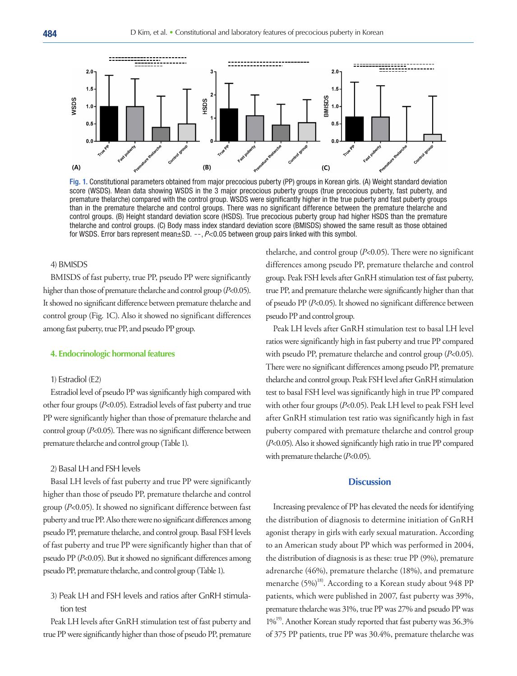

Fig. 1. Constitutional parameters obtained from major precocious puberty (PP) groups in Korean girls. (A) Weight standard deviation score (WSDS). Mean data showing WSDS in the 3 major precocious puberty groups (true precocious puberty, fast puberty, and premature thelarche) compared with the control group. WSDS were significantly higher in the true puberty and fast puberty groups than in the premature thelarche and control groups. There was no significant difference between the premature thelarche and control groups. (B) Height standard deviation score (HSDS). True precocious puberty group had higher HSDS than the premature thelarche and control groups. (C) Body mass index standard deviation score (BMISDS) showed the same result as those obtained for WSDS. Error bars represent mean $\pm$ SD.  $-$ , P<0.05 between group pairs linked with this symbol.

#### 4) BMISDS

BMISDS of fast puberty, true PP, pseudo PP were significantly higher than those of premature thelarche and control group (P<0.05). It showed no significant difference between premature thelarche and control group (Fig. 1C). Also it showed no significant differences among fast puberty, true PP, and pseudo PP group.

#### **4. Endocrinologic hormonal features**

#### 1) Estradiol (E2)

Estradiol level of pseudo PP was significantly high compared with other four groups (P<0.05). Estradiol levels of fast puberty and true PP were significantly higher than those of premature thelarche and control group (P<0.05). There was no significant difference between premature thelarche and control group (Table 1).

#### 2) Basal LH and FSH levels

Basal LH levels of fast puberty and true PP were significantly higher than those of pseudo PP, premature thelarche and control group (P<0.05). It showed no significant difference between fast puberty and true PP. Also there were no significant differences among pseudo PP, premature thelarche, and control group. Basal FSH levels of fast puberty and true PP were significantly higher than that of pseudo PP (P<0.05). But it showed no significant differences among pseudo PP, premature thelarche, and control group (Table 1).

3) Peak LH and FSH levels and ratios after GnRH stimulation test

Peak LH levels after GnRH stimulation test of fast puberty and true PP were significantly higher than those of pseudo PP, premature thelarche, and control group  $(P<0.05)$ . There were no significant differences among pseudo PP, premature thelarche and control group. Peak FSH levels after GnRH stimulation test of fast puberty, true PP, and premature thelarche were significantly higher than that of pseudo PP (P<0.05). It showed no significant difference between pseudo PP and control group.

Peak LH levels after GnRH stimulation test to basal LH level ratios were significantly high in fast puberty and true PP compared with pseudo PP, premature thelarche and control group (P<0.05). There were no significant differences among pseudo PP, premature thelarche and control group. Peak FSH level after GnRH stimulation test to basal FSH level was significantly high in true PP compared with other four groups ( $P<0.05$ ). Peak LH level to peak FSH level after GnRH stimulation test ratio was significantly high in fast puberty compared with premature thelarche and control group (P<0.05). Also it showed significantly high ratio in true PP compared with premature thelarche (P<0.05).

# **Discussion**

Increasing prevalence of PP has elevated the needs for identifying the distribution of diagnosis to determine initiation of GnRH agonist therapy in girls with early sexual maturation. According to an American study about PP which was performed in 2004, the distribution of diagnosis is as these: true PP (9%), premature adrenarche (46%), premature thelarche (18%), and premature menarche (5%)<sup>18)</sup>. According to a Korean study about 948 PP patients, which were published in 2007, fast puberty was 39%, premature thelarche was 31%, true PP was 27% and pseudo PP was  $1\%^{19}$ . Another Korean study reported that fast puberty was 36.3% of 375 PP patients, true PP was 30.4%, premature thelarche was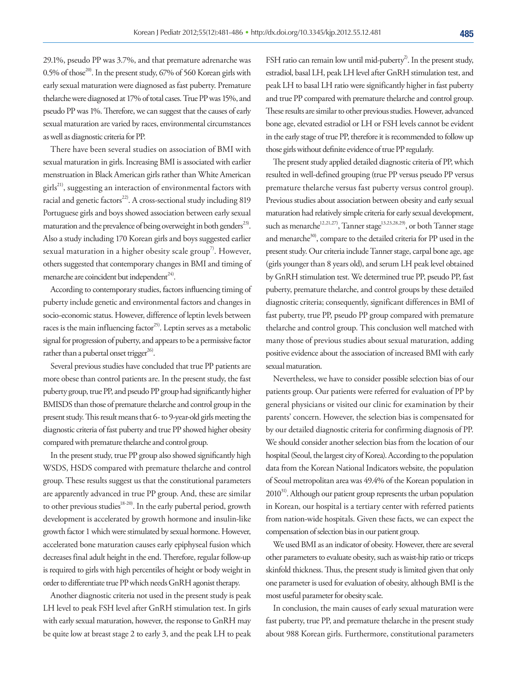29.1%, pseudo PP was 3.7%, and that premature adrenarche was 0.5% of those<sup>20)</sup>. In the present study,  $67%$  of 560 Korean girls with early sexual maturation were diagnosed as fast puberty. Premature thelarche were diagnosed at 17% of total cases. True PP was 15%, and pseudo PP was 1%. Therefore, we can suggest that the causes of early sexual maturation are varied by races, environmental circumstances as well as diagnostic criteria for PP.

There have been several studies on association of BMI with sexual maturation in girls. Increasing BMI is associated with earlier menstruation in Black American girls rather than White American  $girls<sup>21</sup>$ , suggesting an interaction of environmental factors with racial and genetic factors<sup>22</sup>. A cross-sectional study including 819 Portuguese girls and boys showed association between early sexual maturation and the prevalence of being overweight in both genders<sup>23)</sup>. Also a study including 170 Korean girls and boys suggested earlier sexual maturation in a higher obesity scale group<sup>7)</sup>. However, others suggested that contemporary changes in BMI and timing of menarche are coincident but independent $24$ .

According to contemporary studies, factors influencing timing of puberty include genetic and environmental factors and changes in socio-economic status. However, difference of leptin levels between races is the main influencing factor<sup>25)</sup>. Leptin serves as a metabolic signal for progression of puberty, and appears to be a permissive factor rather than a pubertal onset trigger $^{26}$ .

Several previous studies have concluded that true PP patients are more obese than control patients are. In the present study, the fast puberty group, true PP, and pseudo PP group had significantly higher BMISDS than those of premature thelarche and control group in the present study. This result means that 6- to 9-year-old girls meeting the diagnostic criteria of fast puberty and true PP showed higher obesity compared with premature thelarche and control group.

In the present study, true PP group also showed significantly high WSDS, HSDS compared with premature thelarche and control group. These results suggest us that the constitutional parameters are apparently advanced in true PP group. And, these are similar to other previous studies<sup>18-20)</sup>. In the early pubertal period, growth development is accelerated by growth hormone and insulin-like growth factor 1 which were stimulated by sexual hormone. However, accelerated bone maturation causes early epiphyseal fusion which decreases final adult height in the end. Therefore, regular follow-up is required to girls with high percentiles of height or body weight in order to differentiate true PP which needs GnRH agonist therapy.

Another diagnostic criteria not used in the present study is peak LH level to peak FSH level after GnRH stimulation test. In girls with early sexual maturation, however, the response to GnRH may be quite low at breast stage 2 to early 3, and the peak LH to peak

FSH ratio can remain low until mid-puberty<sup>2</sup>. In the present study, estradiol, basal LH, peak LH level after GnRH stimulation test, and peak LH to basal LH ratio were significantly higher in fast puberty and true PP compared with premature thelarche and control group. These results are similar to other previous studies. However, advanced bone age, elevated estradiol or LH or FSH levels cannot be evident in the early stage of true PP, therefore it is recommended to follow up those girls without definite evidence of true PP regularly.

The present study applied detailed diagnostic criteria of PP, which resulted in well-defined grouping (true PP versus pseudo PP versus premature thelarche versus fast puberty versus control group). Previous studies about association between obesity and early sexual maturation had relatively simple criteria for early sexual development, such as menarche<sup>12,21,27)</sup>, Tanner stage<sup>13,23,28,29)</sup>, or both Tanner stage and menarche<sup>30</sup>, compare to the detailed criteria for PP used in the present study. Our criteria include Tanner stage, carpal bone age, age (girls younger than 8 years old), and serum LH peak level obtained by GnRH stimulation test. We determined true PP, pseudo PP, fast puberty, premature thelarche, and control groups by these detailed diagnostic criteria; consequently, significant differences in BMI of fast puberty, true PP, pseudo PP group compared with premature thelarche and control group. This conclusion well matched with many those of previous studies about sexual maturation, adding positive evidence about the association of increased BMI with early sexual maturation.

Nevertheless, we have to consider possible selection bias of our patients group. Our patients were referred for evaluation of PP by general physicians or visited our clinic for examination by their parents' concern. However, the selection bias is compensated for by our detailed diagnostic criteria for confirming diagnosis of PP. We should consider another selection bias from the location of our hospital (Seoul, the largest city of Korea). According to the population data from the Korean National Indicators website, the population of Seoul metropolitan area was 49.4% of the Korean population in  $2010^{31}$ . Although our patient group represents the urban population in Korean, our hospital is a tertiary center with referred patients from nation-wide hospitals. Given these facts, we can expect the compensation of selection bias in our patient group.

We used BMI as an indicator of obesity. However, there are several other parameters to evaluate obesity, such as waist-hip ratio or triceps skinfold thickness. Thus, the present study is limited given that only one parameter is used for evaluation of obesity, although BMI is the most useful parameter for obesity scale.

In conclusion, the main causes of early sexual maturation were fast puberty, true PP, and premature thelarche in the present study about 988 Korean girls. Furthermore, constitutional parameters